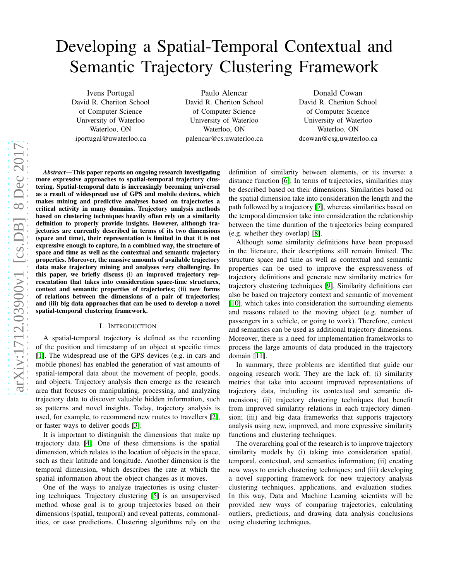# Developing a Spatial-Temporal Contextual and Semantic Trajectory Clustering Framework

Ivens Portugal David R. Cheriton School of Computer Science University of Waterloo Waterloo, ON iportugal@uwaterloo.ca

Paulo Alencar David R. Cheriton School of Computer Science University of Waterloo Waterloo, ON palencar@cs.uwaterloo.ca

Donald Cowan David R. Cheriton School of Computer Science University of Waterloo Waterloo, ON dcowan@csg.uwaterloo.ca

*Abstract*—This paper reports on ongoing research investigating more expressive approaches to spatial-temporal trajectory clustering. Spatial-temporal data is increasingly becoming universal as a result of widespread use of GPS and mobile devices, which makes mining and predictive analyses based on trajectories a critical activity in many domains. Trajectory analysis methods based on clustering techniques heavily often rely on a similarity definition to properly provide insights. However, although trajectories are currently described in terms of its two dimensions (space and time), their representation is limited in that it is not expressive enough to capture, in a combined way, the structure of space and time as well as the contextual and semantic trajectory properties. Moreover, the massive amounts of available trajectory data make trajectory mining and analyses very challenging. In this paper, we briefly discuss (i) an improved trajectory representation that takes into consideration space-time structures, context and semantic properties of trajectories; (ii) new forms of relations between the dimensions of a pair of trajectories; and (iii) big data approaches that can be used to develop a novel spatial-temporal clustering framework.

#### I. INTRODUCTION

A spatial-temporal trajectory is defined as the recording of the position and timestamp of an object at specific times [\[1\]](#page-3-0). The widespread use of the GPS devices (e.g. in cars and mobile phones) has enabled the generation of vast amounts of spatial-temporal data about the movement of people, goods, and objects. Trajectory analysis then emerge as the research area that focuses on manipulating, processing, and analyzing trajectory data to discover valuable hidden information, such as patterns and novel insights. Today, trajectory analysis is used, for example, to recommend new routes to travellers [\[2\]](#page-3-1), or faster ways to deliver goods [\[3\]](#page-3-2).

It is important to distinguish the dimensions that make up trajectory data [\[4\]](#page-3-3). One of these dimensions is the spatial dimension, which relates to the location of objects in the space, such as their latitude and longitude. Another dimension is the temporal dimension, which describes the rate at which the spatial information about the object changes as it moves.

One of the ways to analyze trajectories is using clustering techniques. Trajectory clustering [\[5\]](#page-3-4) is an unsupervised method whose goal is to group trajectories based on their dimensions (spatial, temporal) and reveal patterns, commonalities, or ease predictions. Clustering algorithms rely on the definition of similarity between elements, or its inverse: a distance function [\[6\]](#page-3-5). In terms of trajectories, similarities may be described based on their dimensions. Similarities based on the spatial dimension take into consideration the length and the path followed by a trajectory [\[7\]](#page-3-6), whereas similarities based on the temporal dimension take into consideration the relationship between the time duration of the trajectories being compared (e.g. whether they overlap) [\[8\]](#page-3-7).

Although some similarity definitions have been proposed in the literature, their descriptions still remain limited. The structure space and time as well as contextual and semantic properties can be used to improve the expressiveness of trajectory definitions and generate new similarity metrics for trajectory clustering techniques [\[9\]](#page-3-8). Similarity definitions can also be based on trajectory context and semantic of movement [\[10\]](#page-3-9), which takes into consideration the surrounding elements and reasons related to the moving object (e.g. number of passengers in a vehicle, or going to work). Therefore, context and semantics can be used as additional trajectory dimensions. Moreover, there is a need for implementation framekworks to process the large amounts of data produced in the trajectory domain [\[11\]](#page-3-10).

In summary, three problems are identified that guide our ongoing research work. They are the lack of: (i) similarity metrics that take into account improved representations of trajectory data, including its contextual and semantic dimensions; (ii) trajectory clustering techniques that benefit from improved similarity relations in each trajectory dimension; (iii) and big data frameworks that supports trajectory analysis using new, improved, and more expressive similarity functions and clustering techniques.

The overarching goal of the research is to improve trajectory similarity models by (i) taking into consideration spatial, temporal, contextual, and semantics information; (ii) creating new ways to enrich clustering techniques; and (iii) developing a novel supporting framework for new trajectory analysis clustering techniques, applications, and evaluation studies. In this way, Data and Machine Learning scientists will be provided new ways of comparing trajectories, calculating outliers, predictions, and drawing data analysis conclusions using clustering techniques.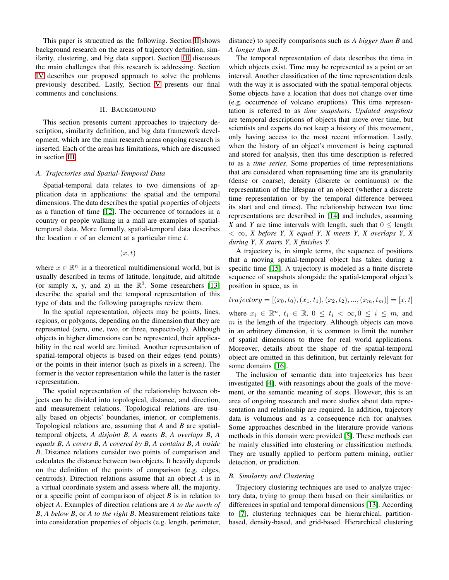This paper is strucutred as the following. Section [II](#page-1-0) shows background research on the areas of trajectory definition, similarity, clustering, and big data support. Section [III](#page-2-0) discusses the main challenges that this research is addressing. Section [IV](#page-2-1) describes our proposed approach to solve the problems previously described. Lastly, Section [V](#page-3-11) presents our final comments and conclusions.

#### II. BACKGROUND

<span id="page-1-0"></span>This section presents current approaches to trajectory description, similarity definition, and big data framework development, which are the main research areas ongoing research is inserted. Each of the areas has limitations, which are discussed in section [III.](#page-2-0)

#### *A. Trajectories and Spatial-Temporal Data*

Spatial-temporal data relates to two dimensions of application data in applications: the spatial and the temporal dimensions. The data describes the spatial properties of objects as a function of time [\[12\]](#page-3-12). The occurrence of tornadoes in a country or people walking in a mall are examples of spatialtemporal data. More formally, spatial-temporal data describes the location  $x$  of an element at a particular time  $t$ .

 $(x, t)$ 

where  $x \in \mathbb{R}^n$  in a theoretical multidimensional world, but is usually described in terms of latitude, longitude, and altitude (or simply x, y, and z) in the  $\mathbb{R}^3$ . Some researchers [\[13\]](#page-3-13) describe the spatial and the temporal representation of this type of data and the following paragraphs review them.

In the spatial representation, objects may be points, lines, regions, or polygons, depending on the dimension that they are represented (zero, one, two, or three, respectively). Although objects in higher dimensions can be represented, their applicability in the real world are limited. Another representation of spatial-temporal objects is based on their edges (end points) or the points in their interior (such as pixels in a screen). The former is the vector representation while the latter is the raster representation.

The spatial representation of the relationship between objects can be divided into topological, distance, and direction, and measurement relations. Topological relations are usually based on objects' boundaries, interior, or complements. Topological relations are, assuming that *A* and *B* are spatialtemporal objects, *A disjoint B*, *A meets B*, *A overlaps B*, *A equals B*, *A covers B*, *A covered by B*, *A contains B*, *A inside B*. Distance relations consider two points of comparison and calculates the distance between two objects. It heavily depends on the definition of the points of comparison (e.g. edges, centroids). Direction relations assume that an object *A* is in a virtual coordinate system and assess where all, the majority, or a specific point of comparison of object *B* is in relation to object *A*. Examples of direction relations are *A to the north of B*, *A below B*, or *A to the right B*. Measurement relations take into consideration properties of objects (e.g. length, perimeter,

distance) to specify comparisons such as *A bigger than B* and *A longer than B*.

The temporal representation of data describes the time in which objects exist. Time may be represented as a point or an interval. Another classification of the time representation deals with the way it is associated with the spatial-temporal objects. Some objects have a location that does not change over time (e.g. occurrence of volcano eruptions). This time representation is referred to as *time snapshots*. *Updated snapshots* are temporal descriptions of objects that move over time, but scientists and experts do not keep a history of this movement, only having access to the most recent information. Lastly, when the history of an object's movement is being captured and stored for analysis, then this time description is referred to as a *time series*. Some properties of time representations that are considered when representing time are its granularity (dense or coarse), density (discrete or continuous) or the representation of the lifespan of an object (whether a discrete time representation or by the temporal difference between its start and end times). The relationship between two time representations are described in [\[14\]](#page-3-14) and includes, assuming *X* and *Y* are time intervals with length, such that  $0 \leq$  length  $< \infty$ , *X* before *Y*, *X* equal *Y*, *X* meets *Y*, *X* overlaps *Y*, *X during Y*, *X starts Y*, *X finishes Y*.

A trajectory is, in simple terms, the sequence of positions that a moving spatial-temporal object has taken during a specific time [\[15\]](#page-3-15). A trajectory is modeled as a finite discrete sequence of snapshots alongside the spatial-temporal object's position in space, as in

# $trajectory = [(x_0, t_0), (x_1, t_1), (x_2, t_2), ..., (x_m, t_m)] = [x, t]$

where  $x_i \in \mathbb{R}^n$ ,  $t_i \in \mathbb{R}$ ,  $0 \le t_i < \infty$ ,  $0 \le i \le m$ , and  $m$  is the length of the trajectory. Although objects can move in an arbitrary dimension, it is common to limit the number of spatial dimensions to three for real world applications. Moreover, details about the shape of the spatial-temporal object are omitted in this definition, but certainly relevant for some domains [\[16\]](#page-3-16).

The inclusion of semantic data into trajectories has been investigated [\[4\]](#page-3-3), with reasonings about the goals of the movement, or the semantic meaning of stops. However, this is an area of ongoing reasearch and more studies about data representation and relationship are required. In addition, trajectory data is volumous and as a consequence rich for analyses. Some approaches described in the literature provide various methods in this domain were provided [\[5\]](#page-3-4). These methods can be mainly classified into clustering or classification methods. They are usually applied to perform pattern mining, outlier detection, or prediction.

# *B. Similarity and Clustering*

Trajectory clustering techniques are used to analyze trajectory data, trying to group them based on their similarities or differences in spatial and temporal dimensions [\[13\]](#page-3-13). According to [\[7\]](#page-3-6), clustering techniques can be hierarchical, partitionbased, density-based, and grid-based. Hierarchical clustering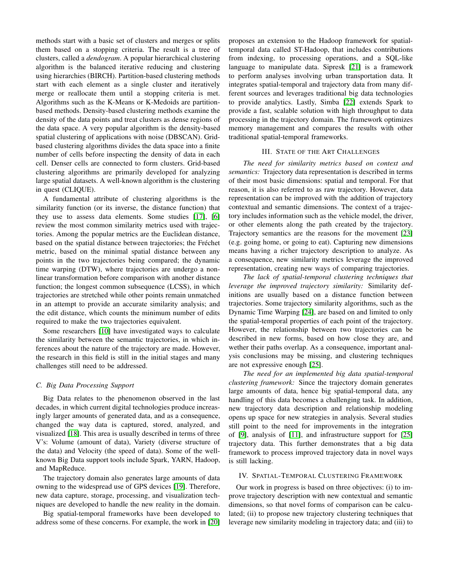methods start with a basic set of clusters and merges or splits them based on a stopping criteria. The result is a tree of clusters, called a *dendogram*. A popular hierarchical clustering algorithm is the balanced iterative reducing and clustering using hierarchies (BIRCH). Partition-based clustering methods start with each element as a single cluster and iteratively merge or reallocate them until a stopping criteria is met. Algorithms such as the K-Means or K-Medoids are partitionbased methods. Density-based clustering methods examine the density of the data points and treat clusters as dense regions of the data space. A very popular algorithm is the density-based spatial clustering of applications with noise (DBSCAN). Gridbased clustering algorithms divides the data space into a finite number of cells before inspecting the density of data in each cell. Denser cells are connected to form clusters. Grid-based clustering algorithms are primarily developed for analyzing large spatial datasets. A well-known algorithm is the clustering in quest (CLIQUE).

A fundamental attribute of clustering algorithms is the similarity function (or its inverse, the distance function) that they use to assess data elements. Some studies [\[17\]](#page-3-17), [\[6\]](#page-3-5) review the most common similarity metrics used with trajectories. Among the popular metrics are the Euclidean distance, based on the spatial distance between trajectories; the Fréchet metric, based on the minimal spatial distance between any points in the two trajectories being compared; the dynamic time warping (DTW), where trajectories are undergo a nonlinear transformation before comparison with another distance function; the longest common subsequence (LCSS), in which trajectories are stretched while other points remain unmatched in an attempt to provide an accurate similarity analysis; and the edit distance, which counts the minimum number of edits required to make the two trajectories equivalent.

Some researchers [\[10\]](#page-3-9) have investigated ways to calculate the similarity between the semantic trajectories, in which inferences about the nature of the trajectory are made. However, the research in this field is still in the initial stages and many challenges still need to be addressed.

# *C. Big Data Processing Support*

Big Data relates to the phenomenon observed in the last decades, in which current digital technologies produce increasingly larger amounts of generated data, and as a consequence, changed the way data is captured, stored, analyzed, and visualized [\[18\]](#page-3-18). This area is usually described in terms of three V's: Volume (amount of data), Variety (diverse structure of the data) and Velocity (the speed of data). Some of the wellknown Big Data support tools include Spark, YARN, Hadoop, and MapReduce.

The trajectory domain also generates large amounts of data owning to the widespread use of GPS devices [\[19\]](#page-3-19). Therefore, new data capture, storage, processing, and visualization techniques are developed to handle the new reality in the domain.

Big spatial-temporal frameworks have been developed to address some of these concerns. For example, the work in [\[20\]](#page-3-20) proposes an extension to the Hadoop framework for spatialtemporal data called ST-Hadoop, that includes contributions from indexing, to processing operations, and a SQL-like language to manipulate data. Sipresk [\[21\]](#page-3-21) is a framework to perform analyses involving urban transportation data. It integrates spatial-temporal and trajectory data from many different sources and leverages traditional big data technologies to provide analytics. Lastly, Simba [\[22\]](#page-3-22) extends Spark to provide a fast, scalable solution with high throughput to data processing in the trajectory domain. The framework optimizes memory management and compares the results with other traditional spatial-temporal frameworks.

# III. STATE OF THE ART CHALLENGES

<span id="page-2-0"></span>*The need for similarity metrics based on context and semantics:* Trajectory data representation is described in terms of their most basic dimensions: spatial and temporal. For that reason, it is also referred to as raw trajectory. However, data representation can be improved with the addition of trajectory contextual and semantic dimensions. The context of a trajectory includes information such as the vehicle model, the driver, or other elements along the path created by the trajectory. Trajectory semantics are the reasons for the movement [\[23\]](#page-3-23) (e.g. going home, or going to eat). Capturing new dimensions means having a richer trajectory description to analyze. As a consequence, new similarity metrics leverage the improved representation, creating new ways of comparing trajectories.

*The lack of spatial-temporal clustering techniques that leverage the improved trajectory similarity:* Similarity definitions are usually based on a distance function between trajectories. Some trajectory similarity algorithms, such as the Dynamic Time Warping [\[24\]](#page-3-24), are based on and limited to only the spatial-temporal properties of each point of the trajectory. However, the relationship between two trajectories can be described in new forms, based on how close they are, and wether their paths overlap. As a consequence, important analysis conclusions may be missing, and clustering techniques are not expressive enough [\[25\]](#page-3-25).

*The need for an implemented big data spatial-temporal clustering framework:* Since the trajectory domain generates large amounts of data, hence big spatial-temporal data, any handling of this data becomes a challenging task. In addition, new trajectory data description and relationship modeling opens up space for new strategies in analysis. Several studies still point to the need for improvements in the integration of [\[9\]](#page-3-8), analysis of [\[11\]](#page-3-10), and infrastructure support for [\[25\]](#page-3-25) trajectory data. This further demonstrates that a big data framework to process improved trajectory data in novel ways is still lacking.

# <span id="page-2-1"></span>IV. SPATIAL-TEMPORAL CLUSTERING FRAMEWORK

Our work in progress is based on three objectives: (i) to improve trajectory description with new contextual and semantic dimensions, so that novel forms of comparison can be calculated; (ii) to propose new trajectory clustering techniques that leverage new similarity modeling in trajectory data; and (iii) to